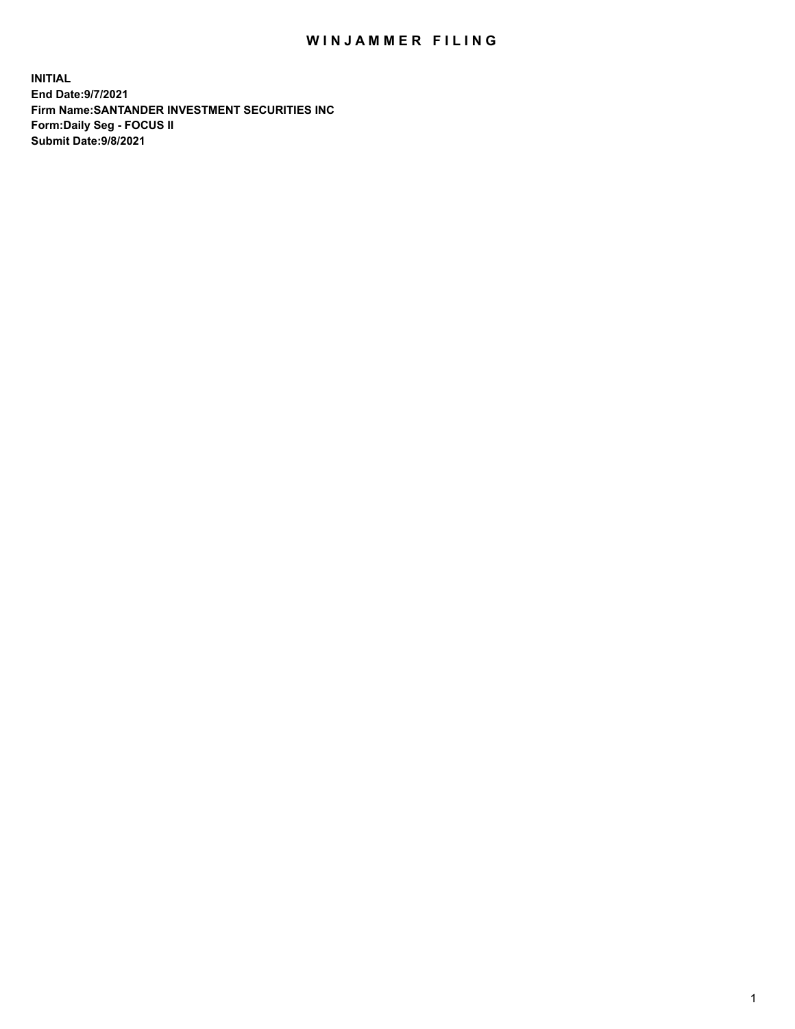## WIN JAMMER FILING

**INITIAL End Date:9/7/2021 Firm Name:SANTANDER INVESTMENT SECURITIES INC Form:Daily Seg - FOCUS II Submit Date:9/8/2021**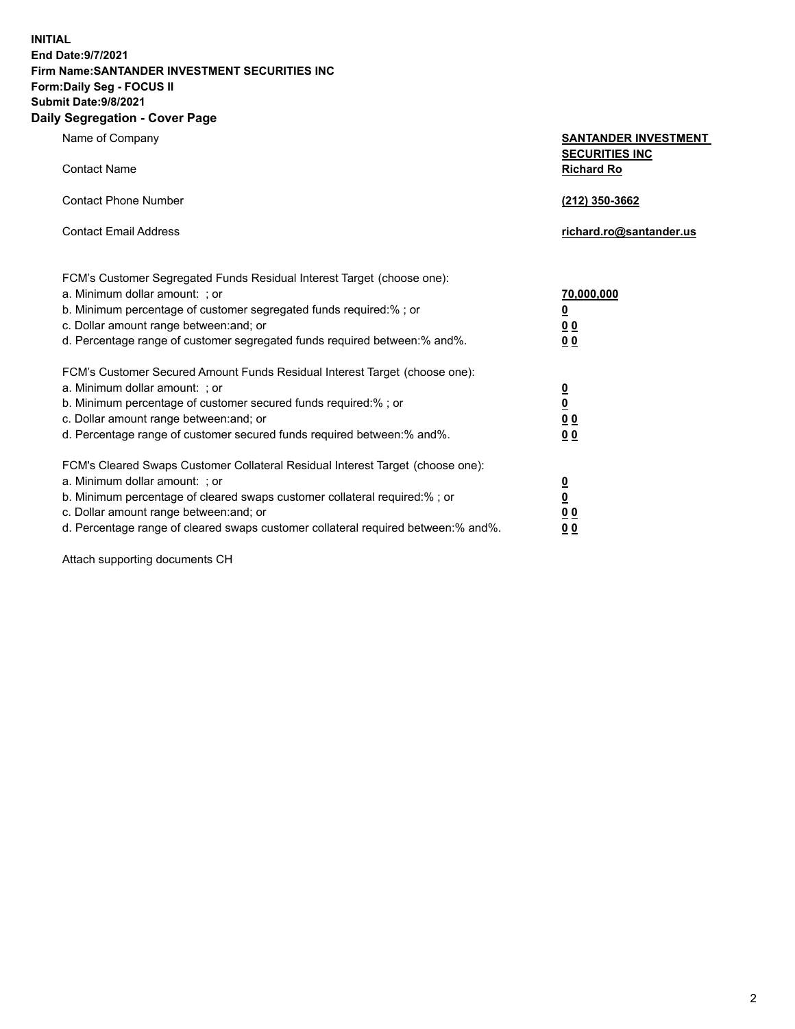**INITIAL End Date:9/7/2021 Firm Name:SANTANDER INVESTMENT SECURITIES INC Form:Daily Seg - FOCUS II Submit Date:9/8/2021 Daily Segregation - Cover Page**

Name of Company **SANTANDER INVESTMENT SECURITIES INC** Contact Name **Richard Ro** Contact Phone Number **(212) 350-3662** Contact Email Address **richard.ro@santander.us** FCM's Customer Segregated Funds Residual Interest Target (choose one): a. Minimum dollar amount: ; or **70,000,000** b. Minimum percentage of customer segregated funds required:% ; or **0** c. Dollar amount range between:and; or **0 0** d. Percentage range of customer segregated funds required between:% and%. **0 0** FCM's Customer Secured Amount Funds Residual Interest Target (choose one): a. Minimum dollar amount: ; or **0** b. Minimum percentage of customer secured funds required:% ; or **0** c. Dollar amount range between:and; or **0 0** d. Percentage range of customer secured funds required between:% and%. **0 0** FCM's Cleared Swaps Customer Collateral Residual Interest Target (choose one): a. Minimum dollar amount: ; or **0** b. Minimum percentage of cleared swaps customer collateral required:% ; or **0** c. Dollar amount range between:and; or **0 0**

d. Percentage range of cleared swaps customer collateral required between:% and%. **0 0**

Attach supporting documents CH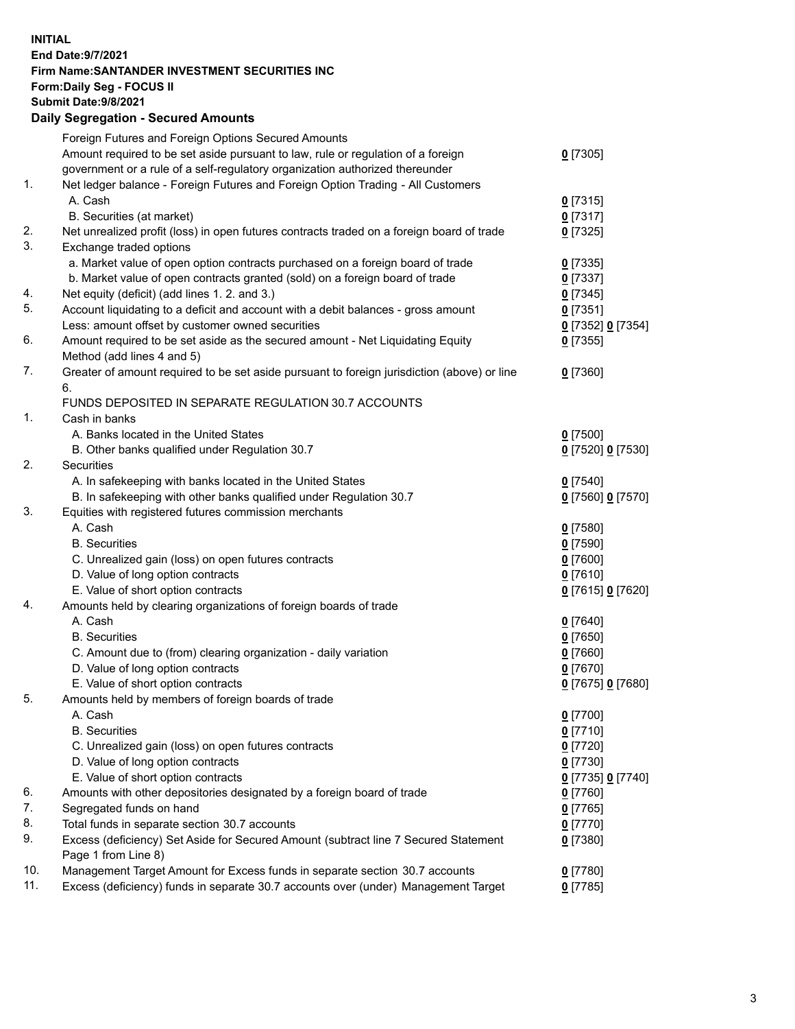## **INITIAL End Date:9/7/2021 Firm Name:SANTANDER INVESTMENT SECURITIES INC Form:Daily Seg - FOCUS II Submit Date:9/8/2021 Daily Segregation - Secured Amounts** Foreign Futures and Foreign Options Secured Amounts

|     | Amount required to be set aside pursuant to law, rule or regulation of a foreign            | $0$ [7305]          |
|-----|---------------------------------------------------------------------------------------------|---------------------|
|     | government or a rule of a self-regulatory organization authorized thereunder                |                     |
| 1.  | Net ledger balance - Foreign Futures and Foreign Option Trading - All Customers             |                     |
|     | A. Cash                                                                                     | $0$ [7315]          |
|     | B. Securities (at market)                                                                   | $0$ [7317]          |
| 2.  | Net unrealized profit (loss) in open futures contracts traded on a foreign board of trade   | $0$ [7325]          |
| 3.  | Exchange traded options                                                                     |                     |
|     | a. Market value of open option contracts purchased on a foreign board of trade              | $0$ [7335]          |
|     | b. Market value of open contracts granted (sold) on a foreign board of trade                | $0$ [7337]          |
| 4.  | Net equity (deficit) (add lines 1. 2. and 3.)                                               | 0[7345]             |
| 5.  | Account liquidating to a deficit and account with a debit balances - gross amount           | $0$ [7351]          |
|     | Less: amount offset by customer owned securities                                            | 0 [7352] 0 [7354]   |
| 6.  | Amount required to be set aside as the secured amount - Net Liquidating Equity              | $0$ [7355]          |
|     | Method (add lines 4 and 5)                                                                  |                     |
| 7.  | Greater of amount required to be set aside pursuant to foreign jurisdiction (above) or line | $0$ [7360]          |
|     | 6.                                                                                          |                     |
|     | FUNDS DEPOSITED IN SEPARATE REGULATION 30.7 ACCOUNTS                                        |                     |
| 1.  | Cash in banks                                                                               |                     |
|     | A. Banks located in the United States                                                       | $0$ [7500]          |
|     | B. Other banks qualified under Regulation 30.7                                              | 0 [7520] 0 [7530]   |
| 2.  | Securities                                                                                  |                     |
|     | A. In safekeeping with banks located in the United States                                   | $0$ [7540]          |
|     | B. In safekeeping with other banks qualified under Regulation 30.7                          | 0 [7560] 0 [7570]   |
| 3.  | Equities with registered futures commission merchants                                       |                     |
|     | A. Cash                                                                                     | $0$ [7580]          |
|     | <b>B.</b> Securities                                                                        | $0$ [7590]          |
|     | C. Unrealized gain (loss) on open futures contracts                                         | $0$ [7600]          |
|     | D. Value of long option contracts                                                           | $0$ [7610]          |
|     | E. Value of short option contracts                                                          | 0 [7615] 0 [7620]   |
| 4.  | Amounts held by clearing organizations of foreign boards of trade                           |                     |
|     | A. Cash                                                                                     | $0$ [7640]          |
|     | <b>B.</b> Securities                                                                        | $0$ [7650]          |
|     | C. Amount due to (from) clearing organization - daily variation                             | $0$ [7660]          |
|     | D. Value of long option contracts                                                           | $0$ [7670]          |
|     | E. Value of short option contracts                                                          | 0 [7675] 0 [7680]   |
| 5.  | Amounts held by members of foreign boards of trade                                          |                     |
|     | A. Cash                                                                                     | $0$ [7700]          |
|     | <b>B.</b> Securities                                                                        | $0$ [7710]          |
|     | C. Unrealized gain (loss) on open futures contracts                                         | 0 <sup>[7720]</sup> |
|     | D. Value of long option contracts                                                           | $0$ [7730]          |
|     | E. Value of short option contracts                                                          | 0 [7735] 0 [7740]   |
| 6.  | Amounts with other depositories designated by a foreign board of trade                      | $0$ [7760]          |
| 7.  | Segregated funds on hand                                                                    | $0$ [7765]          |
| 8.  | Total funds in separate section 30.7 accounts                                               | 0 <sup>[7770]</sup> |
| 9.  | Excess (deficiency) Set Aside for Secured Amount (subtract line 7 Secured Statement         | 0 [7380]            |
|     | Page 1 from Line 8)                                                                         |                     |
| 10. | Management Target Amount for Excess funds in separate section 30.7 accounts                 | $0$ [7780]          |
| 11. | Excess (deficiency) funds in separate 30.7 accounts over (under) Management Target          | $0$ [7785]          |
|     |                                                                                             |                     |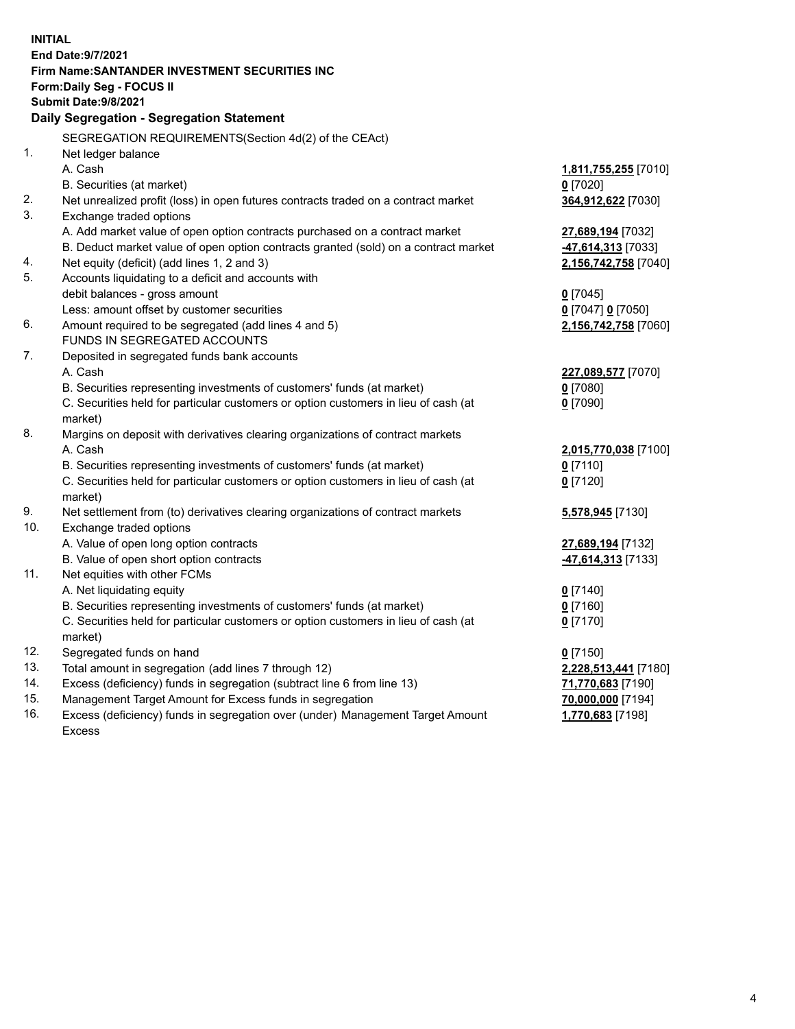| <b>INITIAL</b> | End Date: 9/7/2021<br>Firm Name: SANTANDER INVESTMENT SECURITIES INC<br><b>Form:Daily Seg - FOCUS II</b><br>Submit Date: 9/8/2021<br>Daily Segregation - Segregation Statement |                      |
|----------------|--------------------------------------------------------------------------------------------------------------------------------------------------------------------------------|----------------------|
|                | SEGREGATION REQUIREMENTS(Section 4d(2) of the CEAct)                                                                                                                           |                      |
| 1.             | Net ledger balance                                                                                                                                                             |                      |
|                | A. Cash                                                                                                                                                                        | 1,811,755,255 [7010] |
|                | B. Securities (at market)                                                                                                                                                      | $0$ [7020]           |
| 2.             | Net unrealized profit (loss) in open futures contracts traded on a contract market                                                                                             | 364,912,622 [7030]   |
| 3.             | Exchange traded options                                                                                                                                                        |                      |
|                | A. Add market value of open option contracts purchased on a contract market                                                                                                    | 27,689,194 [7032]    |
|                | B. Deduct market value of open option contracts granted (sold) on a contract market                                                                                            | -47,614,313 [7033]   |
| 4.             | Net equity (deficit) (add lines 1, 2 and 3)                                                                                                                                    | 2,156,742,758 [7040] |
| 5.             | Accounts liquidating to a deficit and accounts with                                                                                                                            |                      |
|                | debit balances - gross amount                                                                                                                                                  | $0$ [7045]           |
|                | Less: amount offset by customer securities                                                                                                                                     | 0 [7047] 0 [7050]    |
| 6.             | Amount required to be segregated (add lines 4 and 5)                                                                                                                           | 2,156,742,758 [7060] |
|                | FUNDS IN SEGREGATED ACCOUNTS                                                                                                                                                   |                      |
| 7.             | Deposited in segregated funds bank accounts                                                                                                                                    |                      |
|                | A. Cash                                                                                                                                                                        | 227,089,577 [7070]   |
|                | B. Securities representing investments of customers' funds (at market)                                                                                                         | $0$ [7080]           |
|                | C. Securities held for particular customers or option customers in lieu of cash (at                                                                                            | $0$ [7090]           |
|                | market)                                                                                                                                                                        |                      |
| 8.             | Margins on deposit with derivatives clearing organizations of contract markets                                                                                                 |                      |
|                | A. Cash                                                                                                                                                                        | 2,015,770,038 [7100] |
|                | B. Securities representing investments of customers' funds (at market)                                                                                                         | $0$ [7110]           |
|                | C. Securities held for particular customers or option customers in lieu of cash (at                                                                                            | $0$ [7120]           |
|                | market)                                                                                                                                                                        |                      |
| 9.             | Net settlement from (to) derivatives clearing organizations of contract markets                                                                                                | 5,578,945 [7130]     |
| 10.            | Exchange traded options                                                                                                                                                        |                      |
|                | A. Value of open long option contracts                                                                                                                                         | 27,689,194 [7132]    |
| 11.            | B. Value of open short option contracts<br>Net equities with other FCMs                                                                                                        | 47,614,313 [7133]    |
|                | A. Net liquidating equity                                                                                                                                                      | $0$ [7140]           |
|                | B. Securities representing investments of customers' funds (at market)                                                                                                         | $0$ [7160]           |
|                | C. Securities held for particular customers or option customers in lieu of cash (at                                                                                            | $0$ [7170]           |
|                | market)                                                                                                                                                                        |                      |
| 12.            | Segregated funds on hand                                                                                                                                                       | $0$ [7150]           |
| 13.            | Total amount in segregation (add lines 7 through 12)                                                                                                                           | 2,228,513,441 [7180] |
| 14.            | Excess (deficiency) funds in segregation (subtract line 6 from line 13)                                                                                                        | 71,770,683 [7190]    |
| 15.            | Management Target Amount for Excess funds in segregation                                                                                                                       | 70,000,000 [7194]    |
| 16.            | Excess (deficiency) funds in segregation over (under) Management Target Amount                                                                                                 | 1,770,683 [7198]     |
|                | <b>Excess</b>                                                                                                                                                                  |                      |